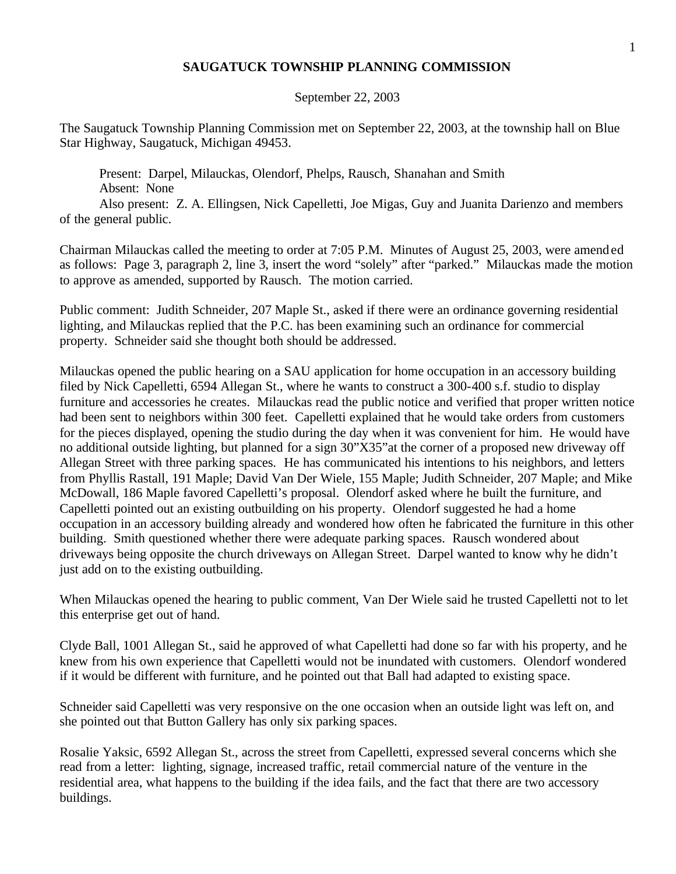## **SAUGATUCK TOWNSHIP PLANNING COMMISSION**

September 22, 2003

The Saugatuck Township Planning Commission met on September 22, 2003, at the township hall on Blue Star Highway, Saugatuck, Michigan 49453.

Present: Darpel, Milauckas, Olendorf, Phelps, Rausch, Shanahan and Smith Absent: None

Also present: Z. A. Ellingsen, Nick Capelletti, Joe Migas, Guy and Juanita Darienzo and members of the general public.

Chairman Milauckas called the meeting to order at 7:05 P.M. Minutes of August 25, 2003, were amended as follows: Page 3, paragraph 2, line 3, insert the word "solely" after "parked." Milauckas made the motion to approve as amended, supported by Rausch. The motion carried.

Public comment: Judith Schneider, 207 Maple St., asked if there were an ordinance governing residential lighting, and Milauckas replied that the P.C. has been examining such an ordinance for commercial property. Schneider said she thought both should be addressed.

Milauckas opened the public hearing on a SAU application for home occupation in an accessory building filed by Nick Capelletti, 6594 Allegan St., where he wants to construct a 300-400 s.f. studio to display furniture and accessories he creates. Milauckas read the public notice and verified that proper written notice had been sent to neighbors within 300 feet. Capelletti explained that he would take orders from customers for the pieces displayed, opening the studio during the day when it was convenient for him. He would have no additional outside lighting, but planned for a sign 30"X35"at the corner of a proposed new driveway off Allegan Street with three parking spaces. He has communicated his intentions to his neighbors, and letters from Phyllis Rastall, 191 Maple; David Van Der Wiele, 155 Maple; Judith Schneider, 207 Maple; and Mike McDowall, 186 Maple favored Capelletti's proposal. Olendorf asked where he built the furniture, and Capelletti pointed out an existing outbuilding on his property. Olendorf suggested he had a home occupation in an accessory building already and wondered how often he fabricated the furniture in this other building. Smith questioned whether there were adequate parking spaces. Rausch wondered about driveways being opposite the church driveways on Allegan Street. Darpel wanted to know why he didn't just add on to the existing outbuilding.

When Milauckas opened the hearing to public comment, Van Der Wiele said he trusted Capelletti not to let this enterprise get out of hand.

Clyde Ball, 1001 Allegan St., said he approved of what Capelletti had done so far with his property, and he knew from his own experience that Capelletti would not be inundated with customers. Olendorf wondered if it would be different with furniture, and he pointed out that Ball had adapted to existing space.

Schneider said Capelletti was very responsive on the one occasion when an outside light was left on, and she pointed out that Button Gallery has only six parking spaces.

Rosalie Yaksic, 6592 Allegan St., across the street from Capelletti, expressed several concerns which she read from a letter: lighting, signage, increased traffic, retail commercial nature of the venture in the residential area, what happens to the building if the idea fails, and the fact that there are two accessory buildings.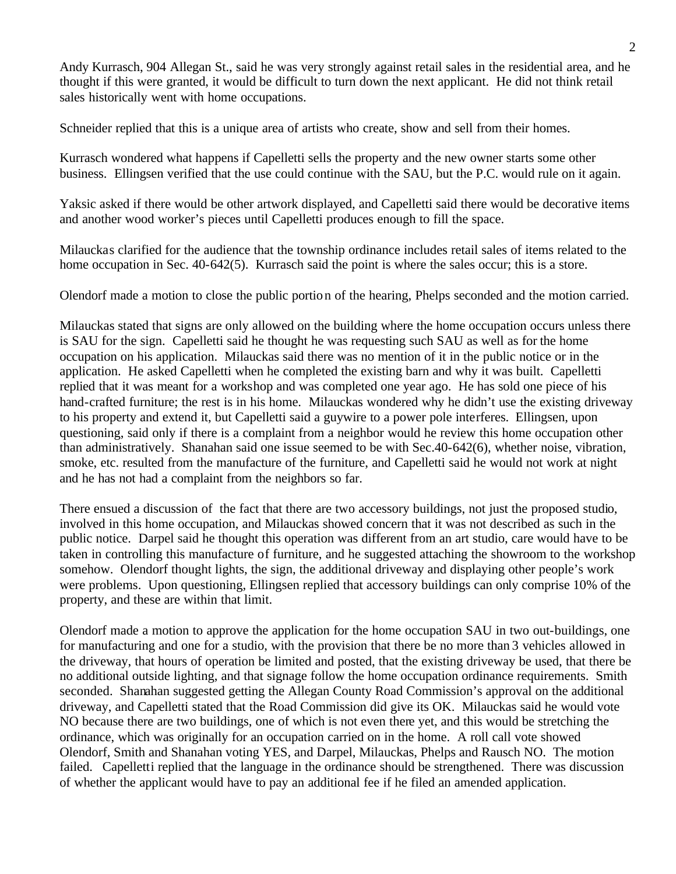Andy Kurrasch, 904 Allegan St., said he was very strongly against retail sales in the residential area, and he thought if this were granted, it would be difficult to turn down the next applicant. He did not think retail sales historically went with home occupations.

Schneider replied that this is a unique area of artists who create, show and sell from their homes.

Kurrasch wondered what happens if Capelletti sells the property and the new owner starts some other business. Ellingsen verified that the use could continue with the SAU, but the P.C. would rule on it again.

Yaksic asked if there would be other artwork displayed, and Capelletti said there would be decorative items and another wood worker's pieces until Capelletti produces enough to fill the space.

Milauckas clarified for the audience that the township ordinance includes retail sales of items related to the home occupation in Sec. 40-642(5). Kurrasch said the point is where the sales occur; this is a store.

Olendorf made a motion to close the public portion of the hearing, Phelps seconded and the motion carried.

Milauckas stated that signs are only allowed on the building where the home occupation occurs unless there is SAU for the sign. Capelletti said he thought he was requesting such SAU as well as for the home occupation on his application. Milauckas said there was no mention of it in the public notice or in the application. He asked Capelletti when he completed the existing barn and why it was built. Capelletti replied that it was meant for a workshop and was completed one year ago. He has sold one piece of his hand-crafted furniture; the rest is in his home. Milauckas wondered why he didn't use the existing driveway to his property and extend it, but Capelletti said a guywire to a power pole interferes. Ellingsen, upon questioning, said only if there is a complaint from a neighbor would he review this home occupation other than administratively. Shanahan said one issue seemed to be with Sec.40-642(6), whether noise, vibration, smoke, etc. resulted from the manufacture of the furniture, and Capelletti said he would not work at night and he has not had a complaint from the neighbors so far.

There ensued a discussion of the fact that there are two accessory buildings, not just the proposed studio, involved in this home occupation, and Milauckas showed concern that it was not described as such in the public notice. Darpel said he thought this operation was different from an art studio, care would have to be taken in controlling this manufacture of furniture, and he suggested attaching the showroom to the workshop somehow. Olendorf thought lights, the sign, the additional driveway and displaying other people's work were problems. Upon questioning, Ellingsen replied that accessory buildings can only comprise 10% of the property, and these are within that limit.

Olendorf made a motion to approve the application for the home occupation SAU in two out-buildings, one for manufacturing and one for a studio, with the provision that there be no more than 3 vehicles allowed in the driveway, that hours of operation be limited and posted, that the existing driveway be used, that there be no additional outside lighting, and that signage follow the home occupation ordinance requirements. Smith seconded. Shanahan suggested getting the Allegan County Road Commission's approval on the additional driveway, and Capelletti stated that the Road Commission did give its OK. Milauckas said he would vote NO because there are two buildings, one of which is not even there yet, and this would be stretching the ordinance, which was originally for an occupation carried on in the home. A roll call vote showed Olendorf, Smith and Shanahan voting YES, and Darpel, Milauckas, Phelps and Rausch NO. The motion failed. Capelletti replied that the language in the ordinance should be strengthened. There was discussion of whether the applicant would have to pay an additional fee if he filed an amended application.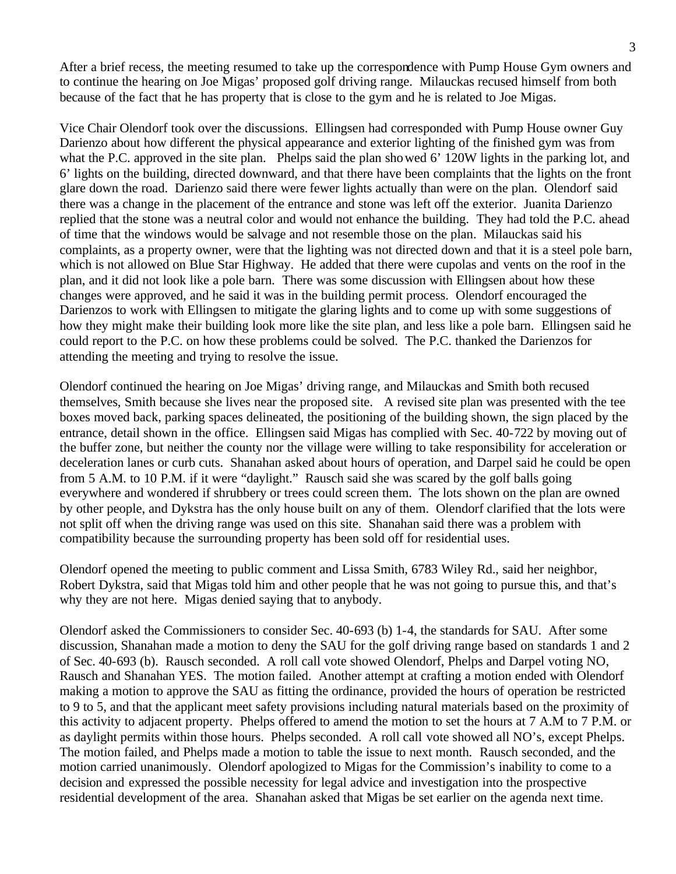After a brief recess, the meeting resumed to take up the correspondence with Pump House Gym owners and to continue the hearing on Joe Migas' proposed golf driving range. Milauckas recused himself from both because of the fact that he has property that is close to the gym and he is related to Joe Migas.

Vice Chair Olendorf took over the discussions. Ellingsen had corresponded with Pump House owner Guy Darienzo about how different the physical appearance and exterior lighting of the finished gym was from what the P.C. approved in the site plan. Phelps said the plan showed 6' 120W lights in the parking lot, and 6' lights on the building, directed downward, and that there have been complaints that the lights on the front glare down the road. Darienzo said there were fewer lights actually than were on the plan. Olendorf said there was a change in the placement of the entrance and stone was left off the exterior. Juanita Darienzo replied that the stone was a neutral color and would not enhance the building. They had told the P.C. ahead of time that the windows would be salvage and not resemble those on the plan. Milauckas said his complaints, as a property owner, were that the lighting was not directed down and that it is a steel pole barn, which is not allowed on Blue Star Highway. He added that there were cupolas and vents on the roof in the plan, and it did not look like a pole barn. There was some discussion with Ellingsen about how these changes were approved, and he said it was in the building permit process. Olendorf encouraged the Darienzos to work with Ellingsen to mitigate the glaring lights and to come up with some suggestions of how they might make their building look more like the site plan, and less like a pole barn. Ellingsen said he could report to the P.C. on how these problems could be solved. The P.C. thanked the Darienzos for attending the meeting and trying to resolve the issue.

Olendorf continued the hearing on Joe Migas' driving range, and Milauckas and Smith both recused themselves, Smith because she lives near the proposed site. A revised site plan was presented with the tee boxes moved back, parking spaces delineated, the positioning of the building shown, the sign placed by the entrance, detail shown in the office. Ellingsen said Migas has complied with Sec. 40-722 by moving out of the buffer zone, but neither the county nor the village were willing to take responsibility for acceleration or deceleration lanes or curb cuts. Shanahan asked about hours of operation, and Darpel said he could be open from 5 A.M. to 10 P.M. if it were "daylight." Rausch said she was scared by the golf balls going everywhere and wondered if shrubbery or trees could screen them. The lots shown on the plan are owned by other people, and Dykstra has the only house built on any of them. Olendorf clarified that the lots were not split off when the driving range was used on this site. Shanahan said there was a problem with compatibility because the surrounding property has been sold off for residential uses.

Olendorf opened the meeting to public comment and Lissa Smith, 6783 Wiley Rd., said her neighbor, Robert Dykstra, said that Migas told him and other people that he was not going to pursue this, and that's why they are not here. Migas denied saying that to anybody.

Olendorf asked the Commissioners to consider Sec. 40-693 (b) 1-4, the standards for SAU. After some discussion, Shanahan made a motion to deny the SAU for the golf driving range based on standards 1 and 2 of Sec. 40-693 (b). Rausch seconded. A roll call vote showed Olendorf, Phelps and Darpel voting NO, Rausch and Shanahan YES. The motion failed. Another attempt at crafting a motion ended with Olendorf making a motion to approve the SAU as fitting the ordinance, provided the hours of operation be restricted to 9 to 5, and that the applicant meet safety provisions including natural materials based on the proximity of this activity to adjacent property. Phelps offered to amend the motion to set the hours at 7 A.M to 7 P.M. or as daylight permits within those hours. Phelps seconded. A roll call vote showed all NO's, except Phelps. The motion failed, and Phelps made a motion to table the issue to next month. Rausch seconded, and the motion carried unanimously. Olendorf apologized to Migas for the Commission's inability to come to a decision and expressed the possible necessity for legal advice and investigation into the prospective residential development of the area. Shanahan asked that Migas be set earlier on the agenda next time.